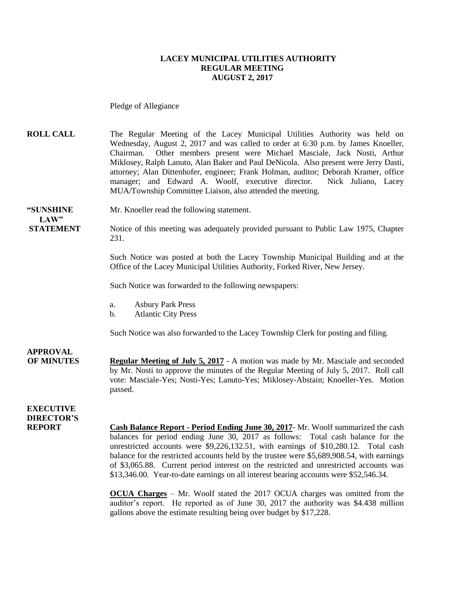#### **LACEY MUNICIPAL UTILITIES AUTHORITY REGULAR MEETING AUGUST 2, 2017**

Pledge of Allegiance

**ROLL CALL** The Regular Meeting of the Lacey Municipal Utilities Authority was held on Wednesday, August 2, 2017 and was called to order at 6:30 p.m. by James Knoeller, Chairman. Other members present were Michael Masciale, Jack Nosti, Arthur Miklosey, Ralph Lanuto, Alan Baker and Paul DeNicola. Also present were Jerry Dasti, attorney; Alan Dittenhofer, engineer; Frank Holman, auditor; Deborah Kramer, office manager; and Edward A. Woolf, executive director. Nick Juliano, Lacey MUA/Township Committee Liaison, also attended the meeting.

**"SUNSHINE** Mr. Knoeller read the following statement. **LAW"** 

**STATEMENT** Notice of this meeting was adequately provided pursuant to Public Law 1975, Chapter 231.

> Such Notice was posted at both the Lacey Township Municipal Building and at the Office of the Lacey Municipal Utilities Authority, Forked River, New Jersey.

Such Notice was forwarded to the following newspapers:

- a. Asbury Park Press
- b. Atlantic City Press

Such Notice was also forwarded to the Lacey Township Clerk for posting and filing.

**APPROVAL OF MINUTES Regular Meeting of July 5, 2017** - A motion was made by Mr. Masciale and seconded by Mr. Nosti to approve the minutes of the Regular Meeting of July 5, 2017. Roll call vote: Masciale-Yes; Nosti-Yes; Lanuto-Yes; Miklosey-Abstain; Knoeller-Yes. Motion passed.

#### **EXECUTIVE DIRECTOR'S**

**REPORT Cash Balance Report - Period Ending June 30, 2017**- Mr. Woolf summarized the cash balances for period ending June 30, 2017 as follows: Total cash balance for the unrestricted accounts were \$9,226,132.51, with earnings of \$10,280.12. Total cash balance for the restricted accounts held by the trustee were \$5,689,908.54, with earnings of \$3,065.88. Current period interest on the restricted and unrestricted accounts was \$13,346.00. Year-to-date earnings on all interest bearing accounts were \$52,546.34.

> **OCUA Charges** – Mr. Woolf stated the 2017 OCUA charges was omitted from the auditor's report. He reported as of June 30, 2017 the authority was \$4.438 million gallons above the estimate resulting being over budget by \$17,228.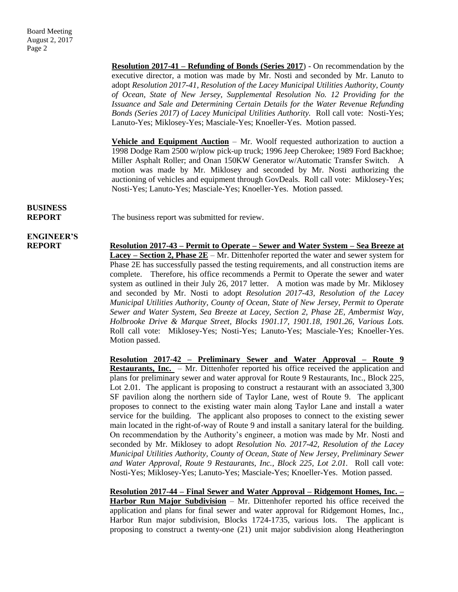**Resolution 2017-41 – Refunding of Bonds (Series 2017**) - On recommendation by the executive director, a motion was made by Mr. Nosti and seconded by Mr. Lanuto to adopt *Resolution 2017-41, Resolution of the Lacey Municipal Utilities Authority, County of Ocean, State of New Jersey, Supplemental Resolution No. 12 Providing for the Issuance and Sale and Determining Certain Details for the Water Revenue Refunding Bonds (Series 2017) of Lacey Municipal Utilities Authority.* Roll call vote: Nosti-Yes; Lanuto-Yes; Miklosey-Yes; Masciale-Yes; Knoeller-Yes. Motion passed.

**Vehicle and Equipment Auction** – Mr. Woolf requested authorization to auction a 1998 Dodge Ram 2500 w/plow pick-up truck; 1996 Jeep Cherokee; 1989 Ford Backhoe; Miller Asphalt Roller; and Onan 150KW Generator w/Automatic Transfer Switch. A motion was made by Mr. Miklosey and seconded by Mr. Nosti authorizing the auctioning of vehicles and equipment through GovDeals. Roll call vote: Miklosey-Yes; Nosti-Yes; Lanuto-Yes; Masciale-Yes; Knoeller-Yes. Motion passed.

## **BUSINESS**

**REPORT** The business report was submitted for review.

# **ENGINEER'S**

**REPORT Resolution 2017-43 – Permit to Operate – Sewer and Water System – Sea Breeze at Lacey – Section 2, Phase 2E** – Mr. Dittenhofer reported the water and sewer system for Phase 2E has successfully passed the testing requirements, and all construction items are complete. Therefore, his office recommends a Permit to Operate the sewer and water system as outlined in their July 26, 2017 letter. A motion was made by Mr. Miklosey and seconded by Mr. Nosti to adopt *Resolution 2017-43, Resolution of the Lacey Municipal Utilities Authority, County of Ocean, State of New Jersey, Permit to Operate Sewer and Water System, Sea Breeze at Lacey, Section 2, Phase 2E, Ambermist Way, Holbrooke Drive & Marque Street, Blocks 1901.17, 1901.18, 1901.26, Various Lots.*  Roll call vote: Miklosey-Yes; Nosti-Yes; Lanuto-Yes; Masciale-Yes; Knoeller-Yes. Motion passed.

> **Resolution 2017-42 – Preliminary Sewer and Water Approval – Route 9 Restaurants, Inc.** – Mr. Dittenhofer reported his office received the application and plans for preliminary sewer and water approval for Route 9 Restaurants, Inc., Block 225, Lot 2.01. The applicant is proposing to construct a restaurant with an associated 3,300 SF pavilion along the northern side of Taylor Lane, west of Route 9. The applicant proposes to connect to the existing water main along Taylor Lane and install a water service for the building. The applicant also proposes to connect to the existing sewer main located in the right-of-way of Route 9 and install a sanitary lateral for the building. On recommendation by the Authority's engineer, a motion was made by Mr. Nosti and seconded by Mr. Miklosey to adopt *Resolution No. 2017-42, Resolution of the Lacey Municipal Utilities Authority, County of Ocean, State of New Jersey, Preliminary Sewer and Water Approval, Route 9 Restaurants, Inc., Block 225, Lot 2.01.* Roll call vote: Nosti-Yes; Miklosey-Yes; Lanuto-Yes; Masciale-Yes; Knoeller-Yes. Motion passed.

> **Resolution 2017-44 – Final Sewer and Water Approval – Ridgemont Homes, Inc. – Harbor Run Major Subdivision** – Mr. Dittenhofer reported his office received the application and plans for final sewer and water approval for Ridgemont Homes, Inc., Harbor Run major subdivision, Blocks 1724-1735, various lots. The applicant is proposing to construct a twenty-one (21) unit major subdivision along Heatherington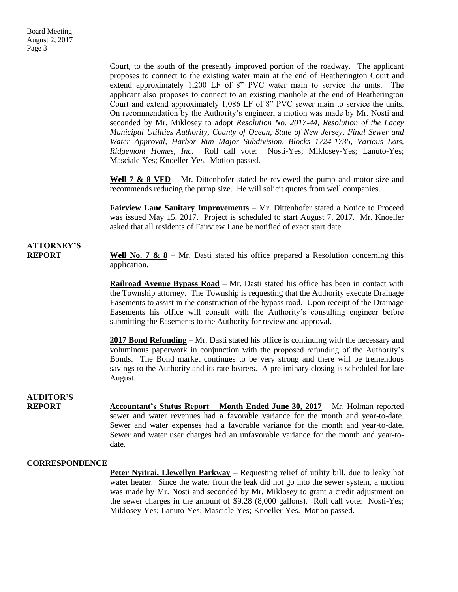Court, to the south of the presently improved portion of the roadway. The applicant proposes to connect to the existing water main at the end of Heatherington Court and extend approximately 1,200 LF of 8" PVC water main to service the units. The applicant also proposes to connect to an existing manhole at the end of Heatherington Court and extend approximately 1,086 LF of 8" PVC sewer main to service the units. On recommendation by the Authority's engineer, a motion was made by Mr. Nosti and seconded by Mr. Miklosey to adopt *Resolution No. 2017-44, Resolution of the Lacey Municipal Utilities Authority, County of Ocean, State of New Jersey, Final Sewer and Water Approval, Harbor Run Major Subdivision, Blocks 1724-1735, Various Lots, Ridgemont Homes, Inc.* Roll call vote: Nosti-Yes; Miklosey-Yes; Lanuto-Yes; Masciale-Yes; Knoeller-Yes. Motion passed.

**Well 7 & 8 VFD** – Mr. Dittenhofer stated he reviewed the pump and motor size and recommends reducing the pump size. He will solicit quotes from well companies.

**Fairview Lane Sanitary Improvements** – Mr. Dittenhofer stated a Notice to Proceed was issued May 15, 2017. Project is scheduled to start August 7, 2017. Mr. Knoeller asked that all residents of Fairview Lane be notified of exact start date.

### **ATTORNEY'S**

**REPORT Well No. 7 & 8** – Mr. Dasti stated his office prepared a Resolution concerning this application.

> **Railroad Avenue Bypass Road** – Mr. Dasti stated his office has been in contact with the Township attorney. The Township is requesting that the Authority execute Drainage Easements to assist in the construction of the bypass road. Upon receipt of the Drainage Easements his office will consult with the Authority's consulting engineer before submitting the Easements to the Authority for review and approval.

> **2017 Bond Refunding** – Mr. Dasti stated his office is continuing with the necessary and voluminous paperwork in conjunction with the proposed refunding of the Authority's Bonds. The Bond market continues to be very strong and there will be tremendous savings to the Authority and its rate bearers. A preliminary closing is scheduled for late August.

#### **AUDITOR'S**

**REPORT** Accountant's Status Report – Month Ended June 30, 2017 – Mr. Holman reported sewer and water revenues had a favorable variance for the month and year-to-date. Sewer and water expenses had a favorable variance for the month and year-to-date. Sewer and water user charges had an unfavorable variance for the month and year-todate.

#### **CORRESPONDENCE**

**Peter Nyitrai, Llewellyn Parkway** – Requesting relief of utility bill, due to leaky hot water heater. Since the water from the leak did not go into the sewer system, a motion was made by Mr. Nosti and seconded by Mr. Miklosey to grant a credit adjustment on the sewer charges in the amount of \$9.28 (8,000 gallons). Roll call vote: Nosti-Yes; Miklosey-Yes; Lanuto-Yes; Masciale-Yes; Knoeller-Yes. Motion passed.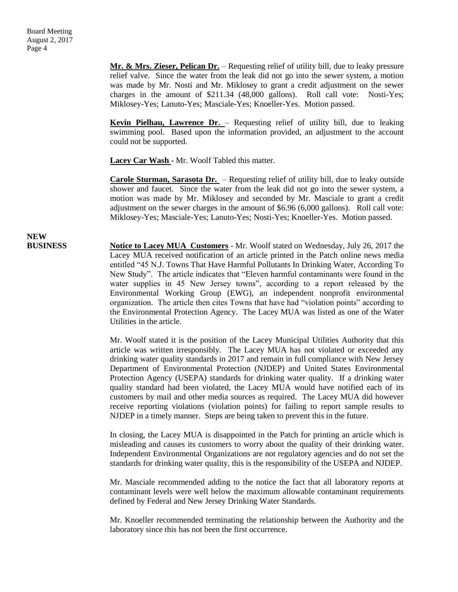**Mr. & Mrs. Zieser, Pelican Dr.** – Requesting relief of utility bill, due to leaky pressure relief valve. Since the water from the leak did not go into the sewer system, a motion was made by Mr. Nosti and Mr. Miklosey to grant a credit adjustment on the sewer charges in the amount of \$211.34 (48,000 gallons). Roll call vote: Nosti-Yes; Miklosey-Yes; Lanuto-Yes; Masciale-Yes; Knoeller-Yes. Motion passed.

**Kevin Pielhau, Lawrence Dr.** – Requesting relief of utility bill, due to leaking swimming pool. Based upon the information provided, an adjustment to the account could not be supported.

**Lacey Car Wash** - Mr. Woolf Tabled this matter.

**Carole Sturman, Sarasota Dr.** – Requesting relief of utility bill, due to leaky outside shower and faucet. Since the water from the leak did not go into the sewer system, a motion was made by Mr. Miklosey and seconded by Mr. Masciale to grant a credit adjustment on the sewer charges in the amount of \$6.96 (6,000 gallons). Roll call vote: Miklosey-Yes; Masciale-Yes; Lanuto-Yes; Nosti-Yes; Knoeller-Yes. Motion passed.

**NEW**

**BUSINESS Notice to Lacey MUA Customers** - Mr. Woolf stated on Wednesday, July 26, 2017 the Lacey MUA received notification of an article printed in the Patch online news media entitled "45 N.J. Towns That Have Harmful Pollutants In Drinking Water, According To New Study". The article indicates that "Eleven harmful contaminants were found in the water supplies in 45 New Jersey towns", according to a report released by the Environmental Working Group (EWG), an independent nonprofit environmental organization. The article then cites Towns that have had "violation points" according to the Environmental Protection Agency. The Lacey MUA was listed as one of the Water Utilities in the article.

> Mr. Woolf stated it is the position of the Lacey Municipal Utilities Authority that this article was written irresponsibly. The Lacey MUA has not violated or exceeded any drinking water quality standards in 2017 and remain in full compliance with New Jersey Department of Environmental Protection (NJDEP) and United States Environmental Protection Agency (USEPA) standards for drinking water quality. If a drinking water quality standard had been violated, the Lacey MUA would have notified each of its customers by mail and other media sources as required. The Lacey MUA did however receive reporting violations (violation points) for failing to report sample results to NJDEP in a timely manner. Steps are being taken to prevent this in the future.

> In closing, the Lacey MUA is disappointed in the Patch for printing an article which is misleading and causes its customers to worry about the quality of their drinking water. Independent Environmental Organizations are not regulatory agencies and do not set the standards for drinking water quality, this is the responsibility of the USEPA and NJDEP.

> Mr. Masciale recommended adding to the notice the fact that all laboratory reports at contaminant levels were well below the maximum allowable contaminant requirements defined by Federal and New Jersey Drinking Water Standards.

> Mr. Knoeller recommended terminating the relationship between the Authority and the laboratory since this has not been the first occurrence.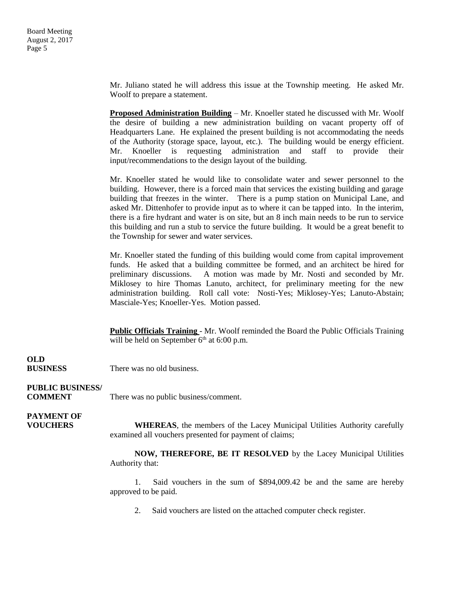Mr. Juliano stated he will address this issue at the Township meeting. He asked Mr. Woolf to prepare a statement.

**Proposed Administration Building** – Mr. Knoeller stated he discussed with Mr. Woolf the desire of building a new administration building on vacant property off of Headquarters Lane. He explained the present building is not accommodating the needs of the Authority (storage space, layout, etc.). The building would be energy efficient. Mr. Knoeller is requesting administration and staff to provide their input/recommendations to the design layout of the building.

Mr. Knoeller stated he would like to consolidate water and sewer personnel to the building. However, there is a forced main that services the existing building and garage building that freezes in the winter. There is a pump station on Municipal Lane, and asked Mr. Dittenhofer to provide input as to where it can be tapped into. In the interim, there is a fire hydrant and water is on site, but an 8 inch main needs to be run to service this building and run a stub to service the future building. It would be a great benefit to the Township for sewer and water services.

Mr. Knoeller stated the funding of this building would come from capital improvement funds. He asked that a building committee be formed, and an architect be hired for preliminary discussions. A motion was made by Mr. Nosti and seconded by Mr. Miklosey to hire Thomas Lanuto, architect, for preliminary meeting for the new administration building. Roll call vote: Nosti-Yes; Miklosey-Yes; Lanuto-Abstain; Masciale-Yes; Knoeller-Yes. Motion passed.

**Public Officials Training** - Mr. Woolf reminded the Board the Public Officials Training will be held on September  $6<sup>th</sup>$  at 6:00 p.m.

**OLD**

**BUSINESS** There was no old business.

#### **PUBLIC BUSINESS/**

**COMMENT** There was no public business/comment.

### **PAYMENT OF**

**VOUCHERS WHEREAS**, the members of the Lacey Municipal Utilities Authority carefully examined all vouchers presented for payment of claims;

> **NOW, THEREFORE, BE IT RESOLVED** by the Lacey Municipal Utilities Authority that:

> 1. Said vouchers in the sum of \$894,009.42 be and the same are hereby approved to be paid.

2. Said vouchers are listed on the attached computer check register.